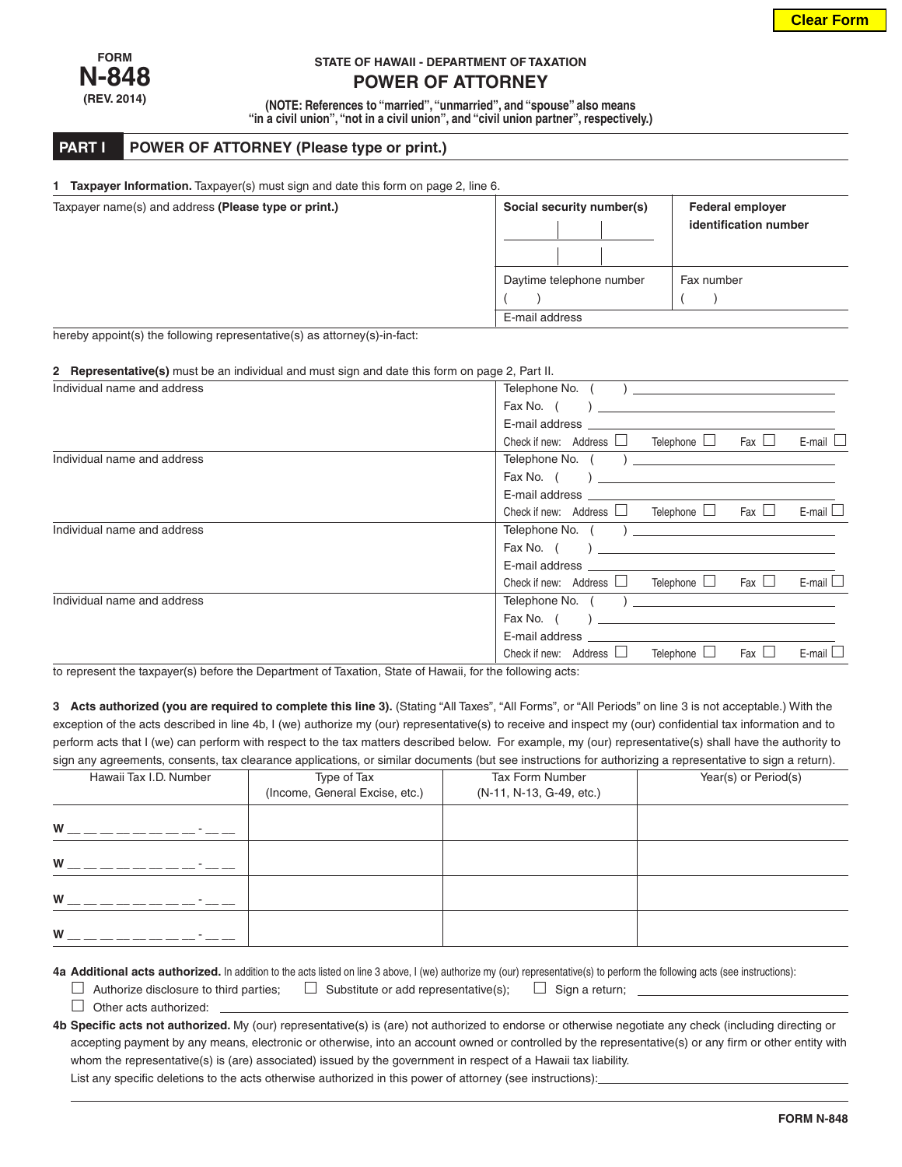

## **STATE OF HAWAII - DEPARTMENT OF TAXATION**

**POWER OF ATTORNEY**

**(NOTE: References to "married", "unmarried", and "spouse" also means "in a civil union", "not in a civil union", and "civil union partner", respectively.)**

## **PART I POWER OF ATTORNEY (Please type or print.)**

| Taxpayer name(s) and address (Please type or print.) | Social security number(s) | <b>Federal employer</b><br>identification number |  |
|------------------------------------------------------|---------------------------|--------------------------------------------------|--|
|                                                      | Daytime telephone number  | Fax number                                       |  |
|                                                      | E-mail address            |                                                  |  |

## **2 Representative(s)** must be an individual and must sign and date this form on page 2, Part II.

| Individual name and address | Telephone No. (<br>$\overline{a}$                                                                                                                                                                                              |  |  |  |  |
|-----------------------------|--------------------------------------------------------------------------------------------------------------------------------------------------------------------------------------------------------------------------------|--|--|--|--|
|                             | Fax No. (                                                                                                                                                                                                                      |  |  |  |  |
|                             |                                                                                                                                                                                                                                |  |  |  |  |
|                             | E-mail $\Box$<br>Telephone LJ Fax LJ<br>Check if new: Address $\Box$                                                                                                                                                           |  |  |  |  |
| Individual name and address |                                                                                                                                                                                                                                |  |  |  |  |
|                             |                                                                                                                                                                                                                                |  |  |  |  |
|                             |                                                                                                                                                                                                                                |  |  |  |  |
|                             | E-mail $\square$<br>Check if new: Address $\Box$ Telephone $\Box$ Fax $\Box$                                                                                                                                                   |  |  |  |  |
| Individual name and address |                                                                                                                                                                                                                                |  |  |  |  |
|                             | Fax No. (                                                                                                                                                                                                                      |  |  |  |  |
|                             | E-mail address <b>E-mail</b>                                                                                                                                                                                                   |  |  |  |  |
|                             | E-mail $\square$<br>Check if new: Address $\Box$ Telephone $\Box$ Fax $\Box$                                                                                                                                                   |  |  |  |  |
| Individual name and address | Telephone No. $($ ) $)$                                                                                                                                                                                                        |  |  |  |  |
|                             |                                                                                                                                                                                                                                |  |  |  |  |
|                             | E-mail address and the control of the control of the control of the control of the control of the control of the control of the control of the control of the control of the control of the control of the control of the cont |  |  |  |  |
|                             | Fax $\Box$<br>Check if new: Address $\Box$<br>Telephone $\Box$<br>$E$ -mail $\Box$                                                                                                                                             |  |  |  |  |

to represent the taxpayer(s) before the Department of Taxation, State of Hawaii, for the following acts:

**3 Acts authorized (you are required to complete this line 3).** (Stating "All Taxes", "All Forms", or "All Periods" on line 3 is not acceptable.) With the exception of the acts described in line 4b, I (we) authorize my (our) representative(s) to receive and inspect my (our) confidential tax information and to perform acts that I (we) can perform with respect to the tax matters described below. For example, my (our) representative(s) shall have the authority to sign any agreements, consents, tax clearance applications, or similar documents (but see instructions for authorizing a representative to sign a return).

| Hawaii Tax I.D. Number | Type of Tax                    | Tax Form Number          | Year(s) or Period(s) |
|------------------------|--------------------------------|--------------------------|----------------------|
|                        | (Income, General Excise, etc.) | (N-11, N-13, G-49, etc.) |                      |
|                        |                                |                          |                      |
| W                      |                                |                          |                      |
| W                      |                                |                          |                      |
| W                      |                                |                          |                      |
| W                      |                                |                          |                      |

**4a Additional acts authorized.** In addition to the acts listed on line 3 above, I (we) authorize my (our) representative(s) to perform the following acts (see instructions):

- $\Box$  Authorize disclosure to third parties;  $\Box$  Substitute or add representative(s);  $\Box$  Sign a return;
- $\Box$  Other acts authorized:
- **4b Specific acts not authorized.** My (our) representative(s) is (are) not authorized to endorse or otherwise negotiate any check (including directing or accepting payment by any means, electronic or otherwise, into an account owned or controlled by the representative(s) or any firm or other entity with whom the representative(s) is (are) associated) issued by the government in respect of a Hawaii tax liability.

List any specific deletions to the acts otherwise authorized in this power of attorney (see instructions):